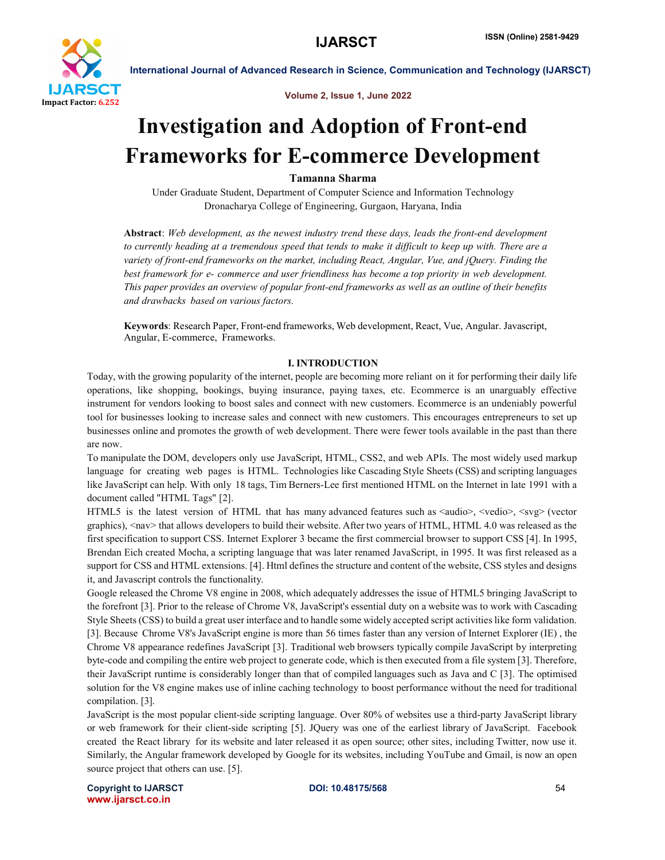

Volume 2, Issue 1, June 2022

# Investigation and Adoption of Front-end Frameworks for E-commerce Development

# Tamanna Sharma

Under Graduate Student, Department of Computer Science and Information Technology Dronacharya College of Engineering, Gurgaon, Haryana, India

Abstract: *Web development, as the newest industry trend these days, leads the front-end development to currently heading at a tremendous speed that tends to make it difficult to keep up with. There are a variety of front-end frameworks on the market, including React, Angular, Vue, and jQuery. Finding the best framework for e- commerce and user friendliness has become a top priority in web development. This paper provides an overview of popular front-end frameworks as well as an outline of their benefits and drawbacks based on various factors.*

Keywords: Research Paper, Front-end frameworks, Web development, React, Vue, Angular. Javascript, Angular, E-commerce, Frameworks.

### I. INTRODUCTION

Today, with the growing popularity of the internet, people are becoming more reliant on it for performing their daily life operations, like shopping, bookings, buying insurance, paying taxes, etc. Ecommerce is an unarguably effective instrument for vendors looking to boost sales and connect with new customers. Ecommerce is an undeniably powerful tool for businesses looking to increase sales and connect with new customers. This encourages entrepreneurs to set up businesses online and promotes the growth of web development. There were fewer tools available in the past than there are now.

To manipulate the DOM, developers only use JavaScript, HTML, CSS2, and web APIs. The most widely used markup language for creating web pages is HTML. Technologies like Cascading Style Sheets (CSS) and scripting languages like JavaScript can help. With only 18 tags, Tim Berners-Lee first mentioned HTML on the Internet in late 1991 with a document called "HTML Tags" [2].

HTML5 is the latest version of HTML that has many advanced features such as  $\langle \text{audio}\rangle$ ,  $\langle \text{vedio}\rangle$ ,  $\langle \text{svg}\rangle$  (vector graphics), <nav> that allows developers to build their website. After two years of HTML, HTML 4.0 was released as the first specification to support CSS. Internet Explorer 3 became the first commercial browser to support CSS [4]. In 1995, Brendan Eich created Mocha, a scripting language that was later renamed JavaScript, in 1995. It was first released as a support for CSS and HTML extensions. [4]. Html defines the structure and content of the website, CSS styles and designs it, and Javascript controls the functionality.

Google released the Chrome V8 engine in 2008, which adequately addresses the issue of HTML5 bringing JavaScript to the forefront [3]. Prior to the release of Chrome V8, JavaScript's essential duty on a website was to work with Cascading Style Sheets (CSS) to build a great user interface and to handle some widely accepted script activities like form validation. [3]. Because Chrome V8's JavaScript engine is more than 56 times faster than any version of Internet Explorer (IE) , the Chrome V8 appearance redefines JavaScript [3]. Traditional web browsers typically compile JavaScript by interpreting byte-code and compiling the entire web project to generate code, which is then executed from a file system [3]. Therefore, their JavaScript runtime is considerably longer than that of compiled languages such as Java and C [3]. The optimised solution for the V8 engine makes use of inline caching technology to boost performance without the need for traditional compilation. [3].

JavaScript is the most popular client-side scripting language. Over 80% of websites use a third-party JavaScript library or web framework for their client-side scripting [5]. JQuery was one of the earliest library of JavaScript. Facebook created the React library for its website and later released it as open source; other sites, including Twitter, now use it. Similarly, the Angular framework developed by Google for its websites, including YouTube and Gmail, is now an open source project that others can use. [5].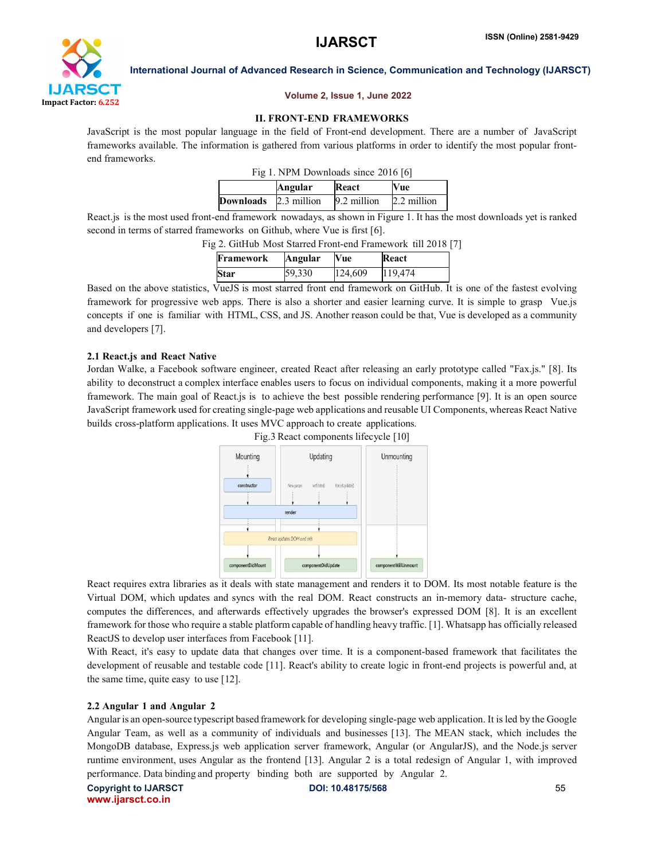

# Volume 2, Issue 1, June 2022

# II. FRONT-END FRAMEWORKS

JavaScript is the most popular language in the field of Front-end development. There are a number of JavaScript frameworks available. The information is gathered from various platforms in order to identify the most popular frontend frameworks.

| Fig 1. NPM Downloads since 2016 [6] |         |             |             |  |
|-------------------------------------|---------|-------------|-------------|--|
|                                     | Angular | React       | Vue         |  |
| <b>Downloads</b> 2.3 million        |         | 9.2 million | 2.2 million |  |

React.js is the most used front-end framework nowadays, as shown in Figure 1. It has the most downloads yet is ranked second in terms of starred frameworks on Github, where Vue is first [6].

Fig 2. GitHub Most Starred Front-end Framework till 2018 [7]

| Framework   | <b>Angular</b> | <b>Vue</b> | React   |
|-------------|----------------|------------|---------|
| <b>Star</b> | 59,330         | 124,609    | 119,474 |

Based on the above statistics, VueJS is most starred front end framework on GitHub. It is one of the fastest evolving framework for progressive web apps. There is also a shorter and easier learning curve. It is simple to grasp Vue.js concepts if one is familiar with HTML, CSS, and JS. Another reason could be that, Vue is developed as a community and developers [7].

# 2.1 React.js and React Native

Jordan Walke, a Facebook software engineer, created React after releasing an early prototype called "Fax.js." [8]. Its ability to deconstruct a complex interface enables users to focus on individual components, making it a more powerful framework. The main goal of React.js is to achieve the best possible rendering performance [9]. It is an open source JavaScript framework used for creating single-page web applications and reusable UI Components, whereas React Native builds cross-platform applications. It uses MVC approach to create applications.



React requires extra libraries as it deals with state management and renders it to DOM. Its most notable feature is the Virtual DOM, which updates and syncs with the real DOM. React constructs an in-memory data- structure cache, computes the differences, and afterwards effectively upgrades the browser's expressed DOM [8]. It is an excellent framework for those who require a stable platform capable of handling heavy traffic. [1]. Whatsapp has officially released ReactJS to develop user interfaces from Facebook [11].

With React, it's easy to update data that changes over time. It is a component-based framework that facilitates the development of reusable and testable code [11]. React's ability to create logic in front-end projects is powerful and, at the same time, quite easy to use [12].

### 2.2 Angular 1 and Angular 2

Angularis an open-source typescript based framework for developing single-page web application. It is led by the Google Angular Team, as well as a community of individuals and businesses [13]. The MEAN stack, which includes the MongoDB database, Express.js web application server framework, Angular (or AngularJS), and the Node.js server runtime environment, uses Angular as the frontend [13]. Angular 2 is a total redesign of Angular 1, with improved performance. Data binding and property binding both are supported by Angular 2.

Copyright to IJARSCT **DOI: 10.48175/568** 55 www.ijarsct.co.in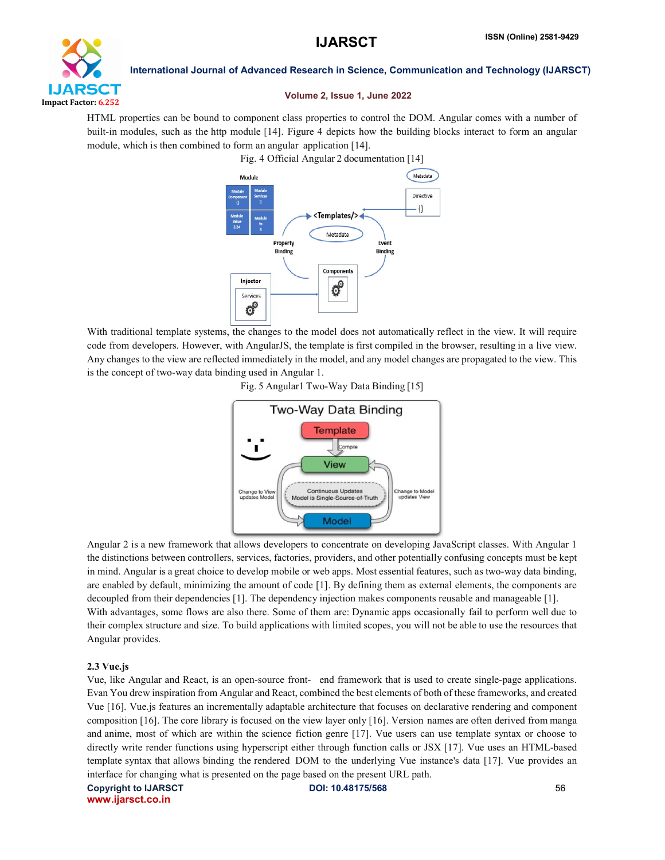

# Volume 2, Issue 1, June 2022

HTML properties can be bound to component class properties to control the DOM. Angular comes with a number of built-in modules, such as the http module [14]. Figure 4 depicts how the building blocks interact to form an angular module, which is then combined to form an angular application [14].



With traditional template systems, the changes to the model does not automatically reflect in the view. It will require code from developers. However, with AngularJS, the template is first compiled in the browser, resulting in a live view. Any changes to the view are reflected immediately in the model, and any model changes are propagated to the view. This is the concept of two-way data binding used in Angular 1.





Angular 2 is a new framework that allows developers to concentrate on developing JavaScript classes. With Angular 1 the distinctions between controllers, services, factories, providers, and other potentially confusing concepts must be kept in mind. Angular is a great choice to develop mobile or web apps. Most essential features, such as two-way data binding, are enabled by default, minimizing the amount of code [1]. By defining them as external elements, the components are decoupled from their dependencies [1]. The dependency injection makes components reusable and manageable [1]. With advantages, some flows are also there. Some of them are: Dynamic apps occasionally fail to perform well due to their complex structure and size. To build applications with limited scopes, you will not be able to use the resources that Angular provides.

# 2.3 Vue.js

Vue, like Angular and React, is an open-source front- end framework that is used to create single-page applications. Evan You drew inspiration from Angular and React, combined the best elements of both of these frameworks, and created Vue [16]. Vue.js features an incrementally adaptable architecture that focuses on declarative rendering and component composition [16]. The core library is focused on the view layer only [16]. Version names are often derived from manga and anime, most of which are within the science fiction genre [17]. Vue users can use template syntax or choose to directly write render functions using hyperscript either through function calls or JSX [17]. Vue uses an HTML-based template syntax that allows binding the rendered DOM to the underlying Vue instance's data [17]. Vue provides an interface for changing what is presented on the page based on the present URL path.

www.ijarsct.co.in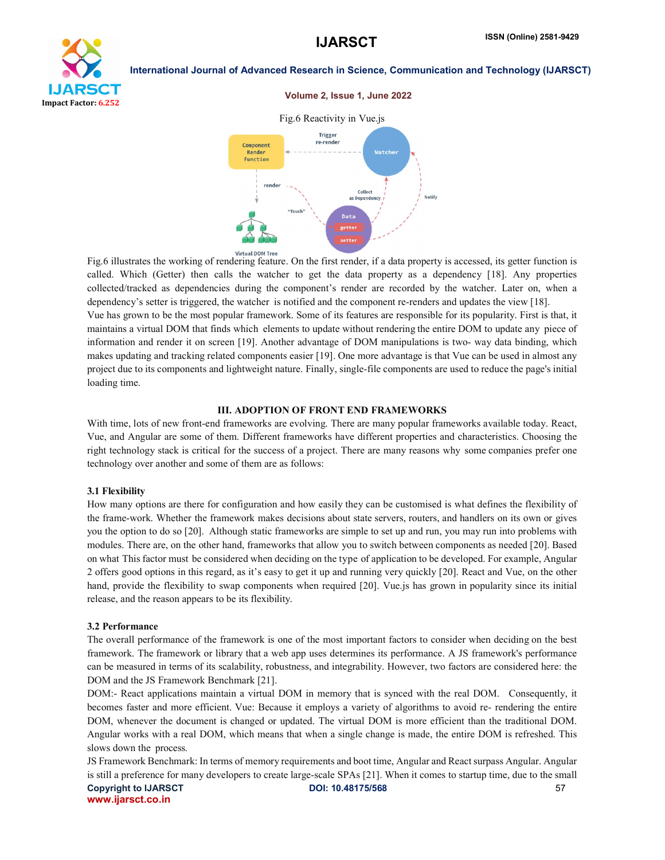

#### Volume 2, Issue 1, June 2022



Fig.6 illustrates the working of rendering feature. On the first render, if a data property is accessed, its getter function is called. Which (Getter) then calls the watcher to get the data property as a dependency [18]. Any properties collected/tracked as dependencies during the component's render are recorded by the watcher. Later on, when a dependency's setter is triggered, the watcher is notified and the component re-renders and updates the view [18]. Vue has grown to be the most popular framework. Some of its features are responsible for its popularity. First is that, it maintains a virtual DOM that finds which elements to update without rendering the entire DOM to update any piece of information and render it on screen [19]. Another advantage of DOM manipulations is two- way data binding, which makes updating and tracking related components easier [19]. One more advantage is that Vue can be used in almost any project due to its components and lightweight nature. Finally, single-file components are used to reduce the page's initial loading time.

#### III. ADOPTION OF FRONT END FRAMEWORKS

With time, lots of new front-end frameworks are evolving. There are many popular frameworks available today. React, Vue, and Angular are some of them. Different frameworks have different properties and characteristics. Choosing the right technology stack is critical for the success of a project. There are many reasons why some companies prefer one technology over another and some of them are as follows:

#### 3.1 Flexibility

How many options are there for configuration and how easily they can be customised is what defines the flexibility of the frame-work. Whether the framework makes decisions about state servers, routers, and handlers on its own or gives you the option to do so [20]. Although static frameworks are simple to set up and run, you may run into problems with modules. There are, on the other hand, frameworks that allow you to switch between components as needed [20]. Based on what This factor must be considered when deciding on the type of application to be developed. For example, Angular 2 offers good options in this regard, as it's easy to get it up and running very quickly [20]. React and Vue, on the other hand, provide the flexibility to swap components when required [20]. Vue is has grown in popularity since its initial release, and the reason appears to be its flexibility.

#### 3.2 Performance

The overall performance of the framework is one of the most important factors to consider when deciding on the best framework. The framework or library that a web app uses determines its performance. A JS framework's performance can be measured in terms of its scalability, robustness, and integrability. However, two factors are considered here: the DOM and the JS Framework Benchmark [21].

DOM:- React applications maintain a virtual DOM in memory that is synced with the real DOM. Consequently, it becomes faster and more efficient. Vue: Because it employs a variety of algorithms to avoid re- rendering the entire DOM, whenever the document is changed or updated. The virtual DOM is more efficient than the traditional DOM. Angular works with a real DOM, which means that when a single change is made, the entire DOM is refreshed. This slows down the process.

Copyright to IJARSCT **DOI: 10.48175/568** 57 www.ijarsct.co.in JS Framework Benchmark: In terms of memory requirements and boot time, Angular and React surpass Angular. Angular is still a preference for many developers to create large-scale SPAs [21]. When it comes to startup time, due to the small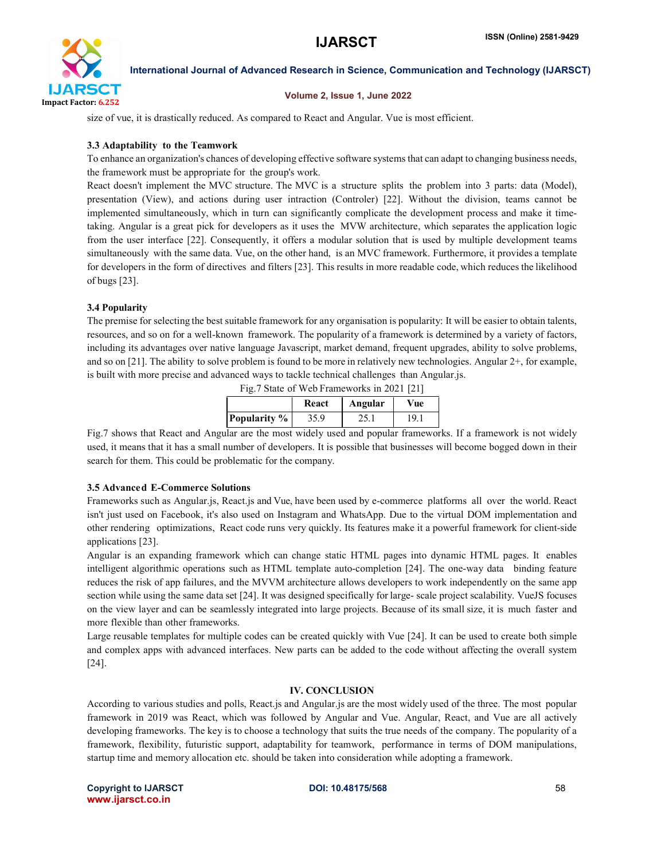

### Volume 2, Issue 1, June 2022

size of vue, it is drastically reduced. As compared to React and Angular. Vue is most efficient.

# 3.3 Adaptability to the Teamwork

To enhance an organization's chances of developing effective software systems that can adapt to changing business needs, the framework must be appropriate for the group's work.

React doesn't implement the MVC structure. The MVC is a structure splits the problem into 3 parts: data (Model), presentation (View), and actions during user intraction (Controler) [22]. Without the division, teams cannot be implemented simultaneously, which in turn can significantly complicate the development process and make it timetaking. Angular is a great pick for developers as it uses the MVW architecture, which separates the application logic from the user interface [22]. Consequently, it offers a modular solution that is used by multiple development teams simultaneously with the same data. Vue, on the other hand, is an MVC framework. Furthermore, it provides a template for developers in the form of directives and filters [23]. This results in more readable code, which reduces the likelihood of bugs [23].

# 3.4 Popularity

The premise for selecting the best suitable framework for any organisation is popularity: It will be easier to obtain talents, resources, and so on for a well-known framework. The popularity of a framework is determined by a variety of factors, including its advantages over native language Javascript, market demand, frequent upgrades, ability to solve problems, and so on [21]. The ability to solve problem is found to be more in relatively new technologies. Angular 2+, for example, is built with more precise and advanced ways to tackle technical challenges than Angular.js.

Fig.7 State of Web Frameworks in 2021 [21]

|                     | React | Angular | Vue             |
|---------------------|-------|---------|-----------------|
| <b>Popularity</b> % | 35.9  | 25.1    | 19 <sub>1</sub> |

Fig.7 shows that React and Angular are the most widely used and popular frameworks. If a framework is not widely used, it means that it has a small number of developers. It is possible that businesses will become bogged down in their search for them. This could be problematic for the company.

### 3.5 Advanced E-Commerce Solutions

Frameworks such as Angular.js, React.js and Vue, have been used by e-commerce platforms all over the world. React isn't just used on Facebook, it's also used on Instagram and WhatsApp. Due to the virtual DOM implementation and other rendering optimizations, React code runs very quickly. Its features make it a powerful framework for client-side applications [23].

Angular is an expanding framework which can change static HTML pages into dynamic HTML pages. It enables intelligent algorithmic operations such as HTML template auto-completion [24]. The one-way data binding feature reduces the risk of app failures, and the MVVM architecture allows developers to work independently on the same app section while using the same data set [24]. It was designed specifically for large- scale project scalability. VueJS focuses on the view layer and can be seamlessly integrated into large projects. Because of its small size, it is much faster and more flexible than other frameworks.

Large reusable templates for multiple codes can be created quickly with Vue [24]. It can be used to create both simple and complex apps with advanced interfaces. New parts can be added to the code without affecting the overall system [24].

### IV. CONCLUSION

According to various studies and polls, React.js and Angular.js are the most widely used of the three. The most popular framework in 2019 was React, which was followed by Angular and Vue. Angular, React, and Vue are all actively developing frameworks. The key is to choose a technology that suits the true needs of the company. The popularity of a framework, flexibility, futuristic support, adaptability for teamwork, performance in terms of DOM manipulations, startup time and memory allocation etc. should be taken into consideration while adopting a framework.